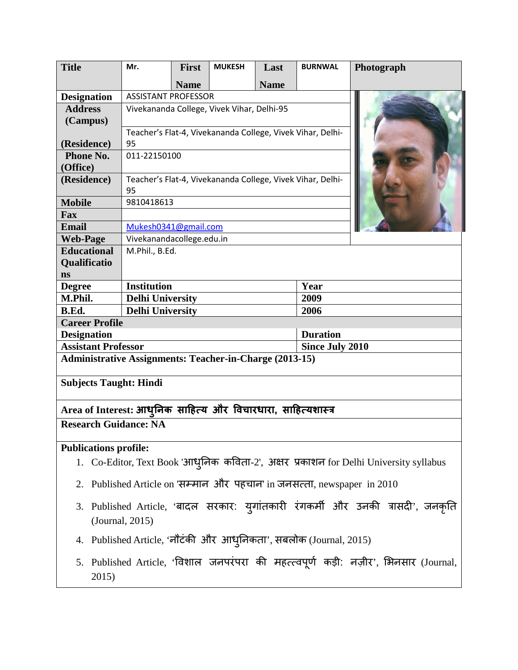| <b>Title</b>                                                   | Mr.                                                              | <b>First</b> | <b>MUKESH</b> | Last                   | <b>BURNWAL</b> | Photograph |
|----------------------------------------------------------------|------------------------------------------------------------------|--------------|---------------|------------------------|----------------|------------|
|                                                                |                                                                  | <b>Name</b>  |               | <b>Name</b>            |                |            |
| <b>Designation</b>                                             | <b>ASSISTANT PROFESSOR</b>                                       |              |               |                        |                |            |
| <b>Address</b>                                                 | Vivekananda College, Vivek Vihar, Delhi-95                       |              |               |                        |                |            |
| (Campus)                                                       |                                                                  |              |               |                        |                |            |
|                                                                | Teacher's Flat-4, Vivekananda College, Vivek Vihar, Delhi-       |              |               |                        |                |            |
| (Residence)                                                    | 95                                                               |              |               |                        |                |            |
| Phone No.                                                      | 011-22150100                                                     |              |               |                        |                |            |
| (Office)                                                       |                                                                  |              |               |                        |                |            |
| (Residence)                                                    | Teacher's Flat-4, Vivekananda College, Vivek Vihar, Delhi-<br>95 |              |               |                        |                |            |
| <b>Mobile</b>                                                  | 9810418613                                                       |              |               |                        |                |            |
| Fax                                                            |                                                                  |              |               |                        |                |            |
| <b>Email</b>                                                   | Mukesh0341@gmail.com                                             |              |               |                        |                |            |
| <b>Web-Page</b>                                                | Vivekanandacollege.edu.in                                        |              |               |                        |                |            |
| <b>Educational</b>                                             | M.Phil., B.Ed.                                                   |              |               |                        |                |            |
| Qualificatio                                                   |                                                                  |              |               |                        |                |            |
| ns                                                             |                                                                  |              |               |                        |                |            |
| <b>Degree</b>                                                  | <b>Institution</b>                                               |              |               |                        | Year           |            |
| M.Phil.                                                        | <b>Delhi University</b>                                          |              |               |                        | 2009           |            |
| B.Ed.                                                          | <b>Delhi University</b>                                          |              |               |                        | 2006           |            |
| <b>Career Profile</b>                                          |                                                                  |              |               |                        |                |            |
| <b>Designation</b>                                             |                                                                  |              |               | <b>Duration</b>        |                |            |
| <b>Assistant Professor</b>                                     |                                                                  |              |               | <b>Since July 2010</b> |                |            |
| <b>Administrative Assignments: Teacher-in-Charge (2013-15)</b> |                                                                  |              |               |                        |                |            |
| <b>Subjects Taught: Hindi</b>                                  |                                                                  |              |               |                        |                |            |
| Area of Interest: आधुनिक साहित्य और विचारधारा, साहित्यशास्त्र  |                                                                  |              |               |                        |                |            |
| <b>Research Guidance: NA</b>                                   |                                                                  |              |               |                        |                |            |
| <b>Publications profile:</b>                                   |                                                                  |              |               |                        |                |            |

- 1. Co-Editor, Text Book 'आधुनिक कविता-2', अक्षर प्रकाशन for Delhi University syllabus
- 2. Published Article on 'सम्मान और पहचान' in जनसत्ता, newspaper in  $2010$
- 3. Published Article, 'बादल सरकार: युगातकारी रगकर्मी और उनकी त्रासदी', जनकृति (Journal, 2015)
- 4. Published Article, 'नौटर्की और आधुनिकता', सबलोक (Journal, 2015)
- 5. Published Article, 'विशाल जनपरपरा की महत्त्वपूर्ण कड़ी: नज़ीर', भिनसार (Journal, 2015)